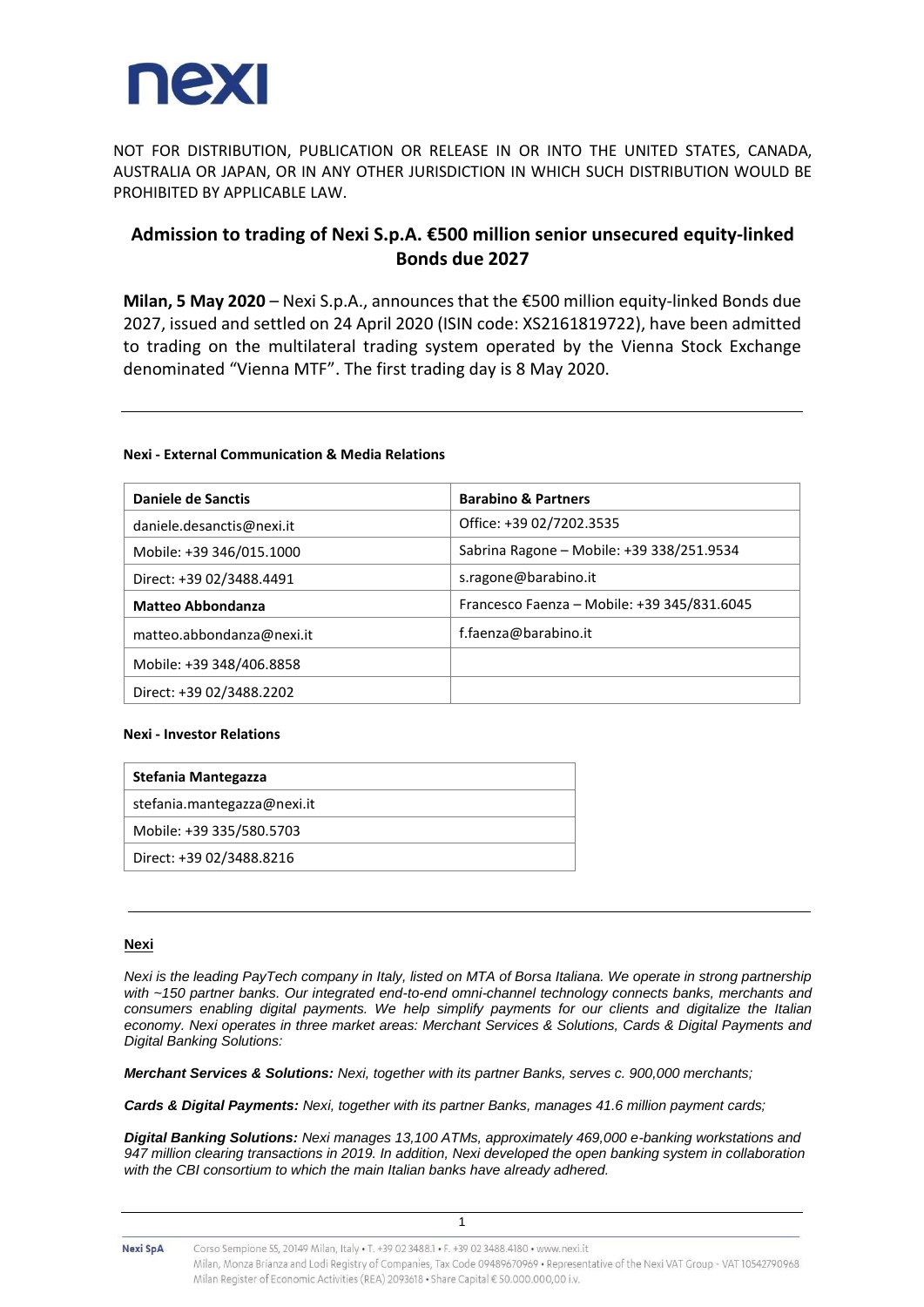

NOT FOR DISTRIBUTION, PUBLICATION OR RELEASE IN OR INTO THE UNITED STATES, CANADA, AUSTRALIA OR JAPAN, OR IN ANY OTHER JURISDICTION IN WHICH SUCH DISTRIBUTION WOULD BE PROHIBITED BY APPLICABLE LAW.

# **Admission to trading of Nexi S.p.A. €500 million senior unsecured equity-linked Bonds due 2027**

**Milan, 5 May 2020** – Nexi S.p.A., announces that the €500 million equity-linked Bonds due 2027, issued and settled on 24 April 2020 (ISIN code: XS2161819722), have been admitted to trading on the multilateral trading system operated by the Vienna Stock Exchange denominated "Vienna MTF". The first trading day is 8 May 2020.

### **Nexi - External Communication & Media Relations**

| Daniele de Sanctis        | <b>Barabino &amp; Partners</b>              |
|---------------------------|---------------------------------------------|
| daniele.desanctis@nexi.it | Office: +39 02/7202.3535                    |
| Mobile: +39 346/015.1000  | Sabrina Ragone - Mobile: +39 338/251.9534   |
| Direct: +39 02/3488.4491  | s.ragone@barabino.it                        |
| <b>Matteo Abbondanza</b>  | Francesco Faenza - Mobile: +39 345/831.6045 |
| matteo.abbondanza@nexi.it | f.faenza@barabino.it                        |
| Mobile: +39 348/406.8858  |                                             |
| Direct: +39 02/3488.2202  |                                             |

#### **Nexi - Investor Relations**

| Stefania Mantegazza         |
|-----------------------------|
| stefania.mantegazza@nexi.it |
| Mobile: +39 335/580.5703    |
| Direct: +39 02/3488.8216    |
|                             |

#### **Nexi**

*Nexi is the leading PayTech company in Italy, listed on MTA of Borsa Italiana. We operate in strong partnership with ~150 partner banks. Our integrated end-to-end omni-channel technology connects banks, merchants and consumers enabling digital payments. We help simplify payments for our clients and digitalize the Italian economy. Nexi operates in three market areas: Merchant Services & Solutions, Cards & Digital Payments and Digital Banking Solutions:* 

*Merchant Services & Solutions: Nexi, together with its partner Banks, serves c. 900,000 merchants;*

*Cards & Digital Payments: Nexi, together with its partner Banks, manages 41.6 million payment cards;*

*Digital Banking Solutions: Nexi manages 13,100 ATMs, approximately 469,000 e-banking workstations and 947 million clearing transactions in 2019. In addition, Nexi developed the open banking system in collaboration with the CBI consortium to which the main Italian banks have already adhered.*

1